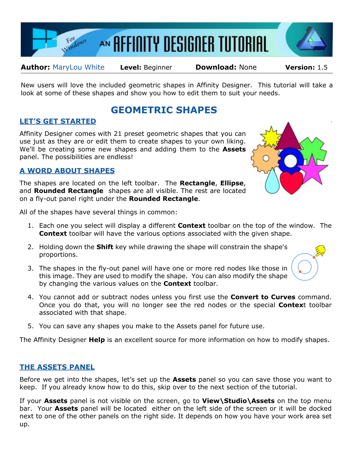

**Author:** [MaryLou White](mailto:mlwhite@pircnet.com) **Level:** Beginner **Download:** None **Version:** 1.5

New users will love the included geometric shapes in Affinity Designer. This tutorial will take a look at some of these shapes and show you how to edit them to suit your needs.

# **GEOMETRIC SHAPES**

## **LET'S GET STARTED**

Affinity Designer comes with 21 preset geometric shapes that you can use just as they are or edit them to create shapes to your own liking. We'll be creating some new shapes and adding them to the **Assets** panel. The possibilities are endless!

### **A WORD ABOUT SHAPES**

The shapes are located on the left toolbar. The **Rectangle**, **Ellipse**, and **Rounded Rectangle** shapes are all visible. The rest are located on a fly-out panel right under the **Rounded Rectangle**.

All of the shapes have several things in common:

- 1. Each one you select will display a different **Context** toolbar on the top of the window. The **Context** toolbar will have the various options associated with the given shape.
- 2. Holding down the **Shift** key while drawing the shape will constrain the shape's proportions.
- 3. The shapes in the fly-out panel will have one or more red nodes like those in this image. They are used to modify the shape. You can also modify the shape by changing the various values on the **Context** toolbar.
- 4. You cannot add or subtract nodes unless you first use the **Convert to Curves** command. Once you do that, you will no longer see the red nodes or the special **Contex**t toolbar associated with that shape.
- 5. You can save any shapes you make to the Assets panel for future use.

The Affinity Designer **Help** is an excellent source for more information on how to modify shapes.

### **THE ASSETS PANEL**

Before we get into the shapes, let's set up the **Assets** panel so you can save those you want to keep. If you already know how to do this, skip over to the next section of the tutorial.

If your **Assets** panel is not visible on the screen, go to **View\Studio\Assets** on the top menu bar. Your **Assets** panel will be located either on the left side of the screen or it will be docked next to one of the other panels on the right side. It depends on how you have your work area set up.

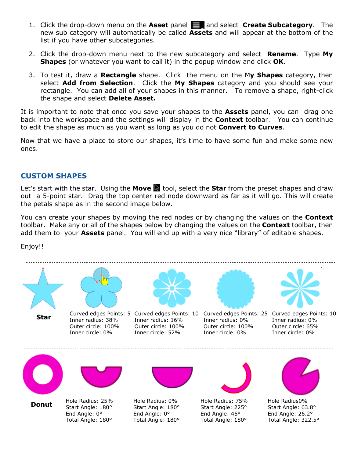- 1. Click the drop-down menu on the **Asset** panel and select **Create Subcategory**. The new sub category will automatically be called **Assets** and will appear at the bottom of the list if you have other subcategories.
- 2. Click the drop-down menu next to the new subcategory and select **Rename**. Type **My Shapes** (or whatever you want to call it) in the popup window and click **OK**.
- 3. To test it, draw a **Rectangle** shape. Click the menu on the M**y Shapes** category, then select **Add from Selection**. Click the **My Shapes** category and you should see your rectangle. You can add all of your shapes in this manner. To remove a shape, right-click the shape and select **Delete Asset.**

It is important to note that once you save your shapes to the **Assets** panel, you can drag one back into the workspace and the settings will display in the **Context** toolbar. You can continue to edit the shape as much as you want as long as you do not **Convert to Curves**.

Now that we have a place to store our shapes, it's time to have some fun and make some new ones.

#### **CUSTOM SHAPES**

Let's start with the star. Using the **Move b** tool, select the **Star** from the preset shapes and draw out a 5-point star. Drag the top center red node downward as far as it will go. This will create the petals shape as in the second image below.

You can create your shapes by moving the red nodes or by changing the values on the **Context** toolbar. Make any or all of the shapes below by changing the values on the **Context** toolbar, then add them to your **Assets** panel. You will end up with a very nice "library" of editable shapes.

Enjoy!!